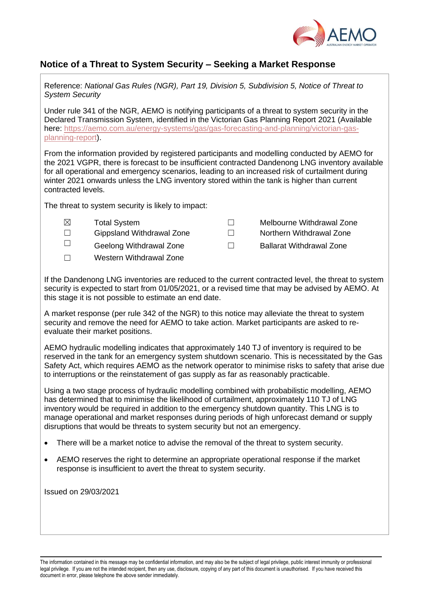

## **Notice of a Threat to System Security – Seeking a Market Response**

Reference: *National Gas Rules (NGR), Part 19, Division 5, Subdivision 5, Notice of Threat to System Security*

Under rule 341 of the NGR, AEMO is notifying participants of a threat to system security in the Declared Transmission System, identified in the Victorian Gas Planning Report 2021 (Available here: [https://aemo.com.au/energy-systems/gas/gas-forecasting-and-planning/victorian-gas](https://aemo.com.au/energy-systems/gas/gas-forecasting-and-planning/victorian-gas-planning-report)[planning-report\)](https://aemo.com.au/energy-systems/gas/gas-forecasting-and-planning/victorian-gas-planning-report).

From the information provided by registered participants and modelling conducted by AEMO for the 2021 VGPR, there is forecast to be insufficient contracted Dandenong LNG inventory available for all operational and emergency scenarios, leading to an increased risk of curtailment during winter 2021 onwards unless the LNG inventory stored within the tank is higher than current contracted levels.

The threat to system security is likely to impact:

☒ Total System ☐ Melbourne Withdrawal Zone ☐ Gippsland Withdrawal Zone ☐ Northern Withdrawal Zone ☐ Geelong Withdrawal Zone ☐ Ballarat Withdrawal Zone ☐ Western Withdrawal Zone

If the Dandenong LNG inventories are reduced to the current contracted level, the threat to system security is expected to start from 01/05/2021, or a revised time that may be advised by AEMO. At this stage it is not possible to estimate an end date.

A market response (per rule 342 of the NGR) to this notice may alleviate the threat to system security and remove the need for AEMO to take action. Market participants are asked to reevaluate their market positions.

AEMO hydraulic modelling indicates that approximately 140 TJ of inventory is required to be reserved in the tank for an emergency system shutdown scenario. This is necessitated by the Gas Safety Act, which requires AEMO as the network operator to minimise risks to safety that arise due to interruptions or the reinstatement of gas supply as far as reasonably practicable.

Using a two stage process of hydraulic modelling combined with probabilistic modelling, AEMO has determined that to minimise the likelihood of curtailment, approximately 110 TJ of LNG inventory would be required in addition to the emergency shutdown quantity. This LNG is to manage operational and market responses during periods of high unforecast demand or supply disruptions that would be threats to system security but not an emergency.

- There will be a market notice to advise the removal of the threat to system security.
- AEMO reserves the right to determine an appropriate operational response if the market response is insufficient to avert the threat to system security.

Issued on 29/03/2021